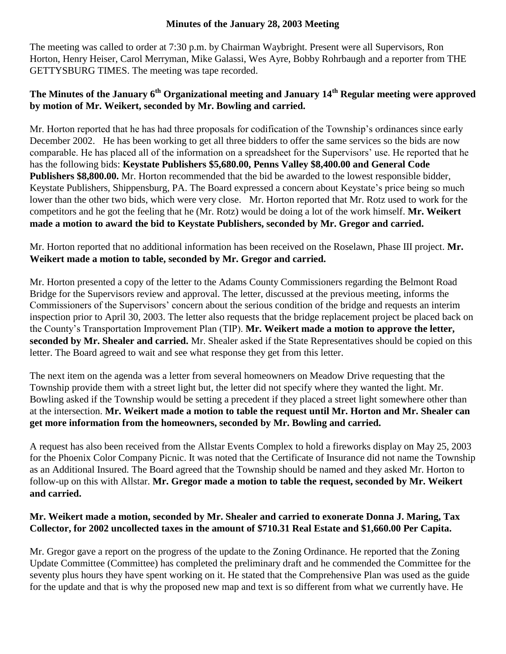## **Minutes of the January 28, 2003 Meeting**

The meeting was called to order at 7:30 p.m. by Chairman Waybright. Present were all Supervisors, Ron Horton, Henry Heiser, Carol Merryman, Mike Galassi, Wes Ayre, Bobby Rohrbaugh and a reporter from THE GETTYSBURG TIMES. The meeting was tape recorded.

## **The Minutes of the January 6th Organizational meeting and January 14th Regular meeting were approved by motion of Mr. Weikert, seconded by Mr. Bowling and carried.**

Mr. Horton reported that he has had three proposals for codification of the Township's ordinances since early December 2002. He has been working to get all three bidders to offer the same services so the bids are now comparable. He has placed all of the information on a spreadsheet for the Supervisors' use. He reported that he has the following bids: **Keystate Publishers \$5,680.00, Penns Valley \$8,400.00 and General Code Publishers \$8,800.00.** Mr. Horton recommended that the bid be awarded to the lowest responsible bidder, Keystate Publishers, Shippensburg, PA. The Board expressed a concern about Keystate's price being so much lower than the other two bids, which were very close. Mr. Horton reported that Mr. Rotz used to work for the competitors and he got the feeling that he (Mr. Rotz) would be doing a lot of the work himself. **Mr. Weikert made a motion to award the bid to Keystate Publishers, seconded by Mr. Gregor and carried.**

Mr. Horton reported that no additional information has been received on the Roselawn, Phase III project. **Mr. Weikert made a motion to table, seconded by Mr. Gregor and carried.** 

Mr. Horton presented a copy of the letter to the Adams County Commissioners regarding the Belmont Road Bridge for the Supervisors review and approval. The letter, discussed at the previous meeting, informs the Commissioners of the Supervisors' concern about the serious condition of the bridge and requests an interim inspection prior to April 30, 2003. The letter also requests that the bridge replacement project be placed back on the County's Transportation Improvement Plan (TIP). **Mr. Weikert made a motion to approve the letter, seconded by Mr. Shealer and carried.** Mr. Shealer asked if the State Representatives should be copied on this letter. The Board agreed to wait and see what response they get from this letter.

The next item on the agenda was a letter from several homeowners on Meadow Drive requesting that the Township provide them with a street light but, the letter did not specify where they wanted the light. Mr. Bowling asked if the Township would be setting a precedent if they placed a street light somewhere other than at the intersection. **Mr. Weikert made a motion to table the request until Mr. Horton and Mr. Shealer can get more information from the homeowners, seconded by Mr. Bowling and carried.**

A request has also been received from the Allstar Events Complex to hold a fireworks display on May 25, 2003 for the Phoenix Color Company Picnic. It was noted that the Certificate of Insurance did not name the Township as an Additional Insured. The Board agreed that the Township should be named and they asked Mr. Horton to follow-up on this with Allstar. **Mr. Gregor made a motion to table the request, seconded by Mr. Weikert and carried.**

## **Mr. Weikert made a motion, seconded by Mr. Shealer and carried to exonerate Donna J. Maring, Tax Collector, for 2002 uncollected taxes in the amount of \$710.31 Real Estate and \$1,660.00 Per Capita.**

Mr. Gregor gave a report on the progress of the update to the Zoning Ordinance. He reported that the Zoning Update Committee (Committee) has completed the preliminary draft and he commended the Committee for the seventy plus hours they have spent working on it. He stated that the Comprehensive Plan was used as the guide for the update and that is why the proposed new map and text is so different from what we currently have. He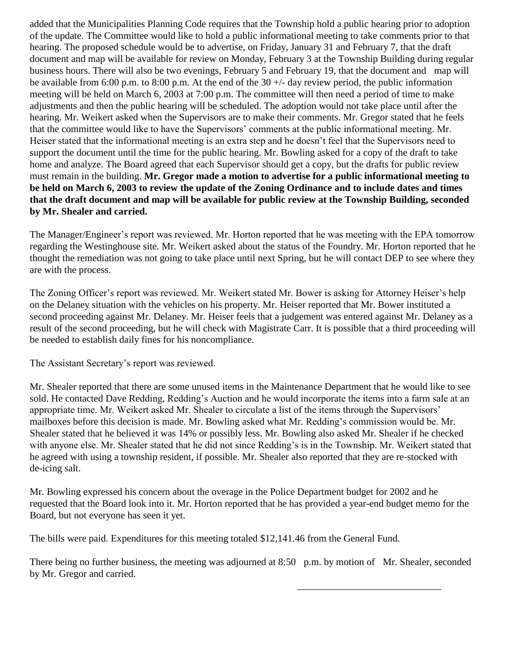added that the Municipalities Planning Code requires that the Township hold a public hearing prior to adoption of the update. The Committee would like to hold a public informational meeting to take comments prior to that hearing. The proposed schedule would be to advertise, on Friday, January 31 and February 7, that the draft document and map will be available for review on Monday, February 3 at the Township Building during regular business hours. There will also be two evenings, February 5 and February 19, that the document and map will be available from 6:00 p.m. to 8:00 p.m. At the end of the  $30 +/-$  day review period, the public information meeting will be held on March 6, 2003 at 7:00 p.m. The committee will then need a period of time to make adjustments and then the public hearing will be scheduled. The adoption would not take place until after the hearing. Mr. Weikert asked when the Supervisors are to make their comments. Mr. Gregor stated that he feels that the committee would like to have the Supervisors' comments at the public informational meeting. Mr. Heiser stated that the informational meeting is an extra step and he doesn't feel that the Supervisors need to support the document until the time for the public hearing. Mr. Bowling asked for a copy of the draft to take home and analyze. The Board agreed that each Supervisor should get a copy, but the drafts for public review must remain in the building. **Mr. Gregor made a motion to advertise for a public informational meeting to be held on March 6, 2003 to review the update of the Zoning Ordinance and to include dates and times that the draft document and map will be available for public review at the Township Building, seconded by Mr. Shealer and carried.**

The Manager/Engineer's report was reviewed. Mr. Horton reported that he was meeting with the EPA tomorrow regarding the Westinghouse site. Mr. Weikert asked about the status of the Foundry. Mr. Horton reported that he thought the remediation was not going to take place until next Spring, but he will contact DEP to see where they are with the process.

The Zoning Officer's report was reviewed. Mr. Weikert stated Mr. Bower is asking for Attorney Heiser's help on the Delaney situation with the vehicles on his property. Mr. Heiser reported that Mr. Bower instituted a second proceeding against Mr. Delaney. Mr. Heiser feels that a judgement was entered against Mr. Delaney as a result of the second proceeding, but he will check with Magistrate Carr. It is possible that a third proceeding will be needed to establish daily fines for his noncompliance.

The Assistant Secretary's report was reviewed.

Mr. Shealer reported that there are some unused items in the Maintenance Department that he would like to see sold. He contacted Dave Redding, Redding's Auction and he would incorporate the items into a farm sale at an appropriate time. Mr. Weikert asked Mr. Shealer to circulate a list of the items through the Supervisors' mailboxes before this decision is made. Mr. Bowling asked what Mr. Redding's commission would be. Mr. Shealer stated that he believed it was 14% or possibly less. Mr. Bowling also asked Mr. Shealer if he checked with anyone else. Mr. Shealer stated that he did not since Redding's is in the Township. Mr. Weikert stated that he agreed with using a township resident, if possible. Mr. Shealer also reported that they are re-stocked with de-icing salt.

Mr. Bowling expressed his concern about the overage in the Police Department budget for 2002 and he requested that the Board look into it. Mr. Horton reported that he has provided a year-end budget memo for the Board, but not everyone has seen it yet.

The bills were paid. Expenditures for this meeting totaled \$12,141.46 from the General Fund.

There being no further business, the meeting was adjourned at 8:50 p.m. by motion of Mr. Shealer, seconded by Mr. Gregor and carried.

\_\_\_\_\_\_\_\_\_\_\_\_\_\_\_\_\_\_\_\_\_\_\_\_\_\_\_\_\_